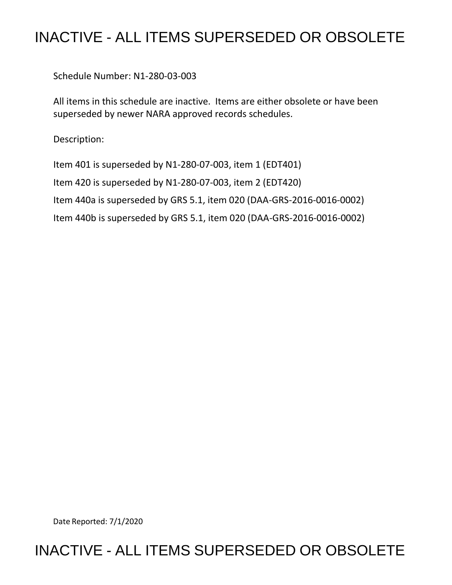## INACTIVE - ALL ITEMS SUPERSEDED OR OBSOLETE

Schedule Number: N1-280-03-003

 All items in this schedule are inactive. Items are either obsolete or have been superseded by newer NARA approved records schedules.

Description:

 Item 401 is superseded by N1-280-07-003, item 1 (EDT401) Item 420 is superseded by N1-280-07-003, item 2 (EDT420) Item 440a is superseded by GRS 5.1, item 020 (DAA-GRS-2016-0016-0002) Item 440b is superseded by GRS 5.1, item 020 (DAA-GRS-2016-0016-0002)

Date Reported: 7/1/2020

## INACTIVE - ALL ITEMS SUPERSEDED OR OBSOLETE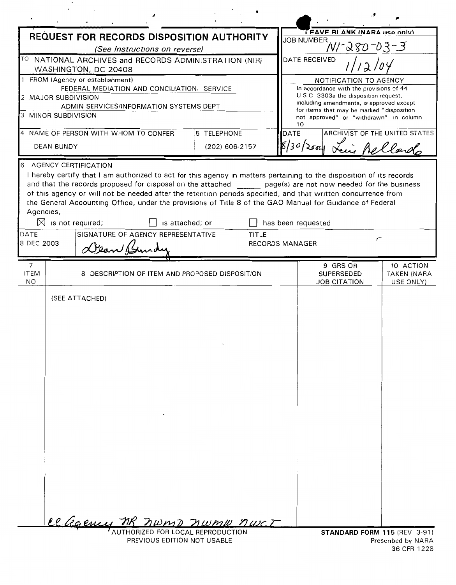| <b>REQUEST FOR RECORDS DISPOSITION AUTHORITY</b>                                                                                                                                                                                                                                                                                                       |                |       | <b>JOB NUMBER</b>                            | I FAVE BI ANK INARA HSP ONLY                                                          |                                              |
|--------------------------------------------------------------------------------------------------------------------------------------------------------------------------------------------------------------------------------------------------------------------------------------------------------------------------------------------------------|----------------|-------|----------------------------------------------|---------------------------------------------------------------------------------------|----------------------------------------------|
| (See Instructions on reverse)                                                                                                                                                                                                                                                                                                                          |                |       |                                              | WI-280-03-3                                                                           |                                              |
| $\vert$ <sup>TO</sup> NATIONAL ARCHIVES and RECORDS ADMINISTRATION (NIR)<br>WASHINGTON, DC 20408                                                                                                                                                                                                                                                       |                |       |                                              | <b>DATE RECEIVED</b>                                                                  |                                              |
| 1 FROM (Agency or establishment)                                                                                                                                                                                                                                                                                                                       |                |       |                                              | NOTIFICATION TO AGENCY                                                                |                                              |
| FEDERAL MEDIATION AND CONCILIATION. SERVICE<br>2 MAJOR SUBDIVISION                                                                                                                                                                                                                                                                                     |                |       |                                              | In accordance with the provisions of 44<br>U S C 3303a the disposition request,       |                                              |
| ADMIN SERVICES/INFORMATION SYSTEMS DEPT                                                                                                                                                                                                                                                                                                                |                |       |                                              | including amendments, is approved except<br>for items that may be marked "disposition |                                              |
| 3 MINOR SUBDIVISION                                                                                                                                                                                                                                                                                                                                    |                |       | 10                                           | not approved" or "withdrawn" in column                                                |                                              |
| 4 NAME OF PERSON WITH WHOM TO CONFER                                                                                                                                                                                                                                                                                                                   | 5 TELEPHONE    |       | DATE                                         |                                                                                       | ARCHIVIST OF THE UNITED STATES               |
| <b>DEAN BUNDY</b>                                                                                                                                                                                                                                                                                                                                      | (202) 606-2157 |       |                                              | 30/2004 Lei Rellando                                                                  |                                              |
| 6 AGENCY CERTIFICATION                                                                                                                                                                                                                                                                                                                                 |                |       |                                              |                                                                                       |                                              |
| of this agency or will not be needed after the retention periods specified, and that written concurrence from<br>the General Accounting Office, under the provisions of Title 8 of the GAO Manual for Guidance of Federal<br>Agencies,<br>$\boxtimes$ is not required;<br>is attached; or<br>SIGNATURE OF AGENCY REPRESENTATIVE<br>IDATE<br>8 DEC 2003 |                | TITLE | has been requested<br><b>RECORDS MANAGER</b> |                                                                                       | ╭                                            |
|                                                                                                                                                                                                                                                                                                                                                        |                |       |                                              |                                                                                       |                                              |
| $\overline{7}$<br><b>ITEM</b><br>8 DESCRIPTION OF ITEM AND PROPOSED DISPOSITION<br><b>NO</b>                                                                                                                                                                                                                                                           |                |       |                                              | 9 GRS OR<br>SUPERSEDED<br><b>JOB CITATION</b>                                         | 10 ACTION<br><b>TAKEN (NARA</b><br>USE ONLY) |
| (SEE ATTACHED)                                                                                                                                                                                                                                                                                                                                         |                |       |                                              |                                                                                       |                                              |

Prescribed by NARA<br>36 CFR 1228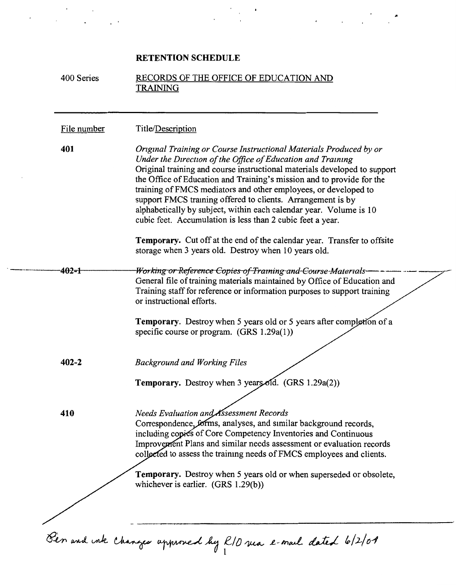## **RETENTION SCHEDULE**

Ŷ,

..

|             | RECORDS OF THE OFFICE OF EDUCATION AND<br><b>TRAINING</b>                                                                                                                                                                                                                                                                                                                                                                                                                                                                                                     |
|-------------|---------------------------------------------------------------------------------------------------------------------------------------------------------------------------------------------------------------------------------------------------------------------------------------------------------------------------------------------------------------------------------------------------------------------------------------------------------------------------------------------------------------------------------------------------------------|
| File number | Title/Description                                                                                                                                                                                                                                                                                                                                                                                                                                                                                                                                             |
| 401         | Original Training or Course Instructional Materials Produced by or<br>Under the Direction of the Office of Education and Training<br>Original training and course instructional materials developed to support<br>the Office of Education and Training's mission and to provide for the<br>training of FMCS mediators and other employees, or developed to<br>support FMCS training offered to clients. Arrangement is by<br>alphabetically by subject, within each calendar year. Volume is 10<br>cubic feet. Accumulation is less than 2 cubic feet a year. |
|             | <b>Temporary.</b> Cut off at the end of the calendar year. Transfer to offsite<br>storage when 3 years old. Destroy when 10 years old.                                                                                                                                                                                                                                                                                                                                                                                                                        |
| 402-1       | Working or Reference Copies of Training and Course Materials<br>General file of training materials maintained by Office of Education and<br>Training staff for reference or information purposes to support training<br>or instructional efforts.                                                                                                                                                                                                                                                                                                             |
|             | <b>Temporary.</b> Destroy when 5 years old or 5 years after completion of a<br>specific course or program. (GRS 1.29a(1))                                                                                                                                                                                                                                                                                                                                                                                                                                     |
| $402 - 2$   | <b>Background and Working Files</b>                                                                                                                                                                                                                                                                                                                                                                                                                                                                                                                           |
|             | Temporary. Destroy when 3 years old. (GRS 1.29a(2))                                                                                                                                                                                                                                                                                                                                                                                                                                                                                                           |
| 410         | Needs Evaluation and Assessment Records<br>Correspondence, forms, analyses, and similar background records,<br>including copies of Core Competency Inventories and Continuous<br>Improvement Plans and similar needs assessment or evaluation records<br>collected to assess the training needs of FMCS employees and clients.                                                                                                                                                                                                                                |
|             | <b>Temporary.</b> Destroy when 5 years old or when superseded or obsolete,<br>whichever is earlier. (GRS 1.29(b))                                                                                                                                                                                                                                                                                                                                                                                                                                             |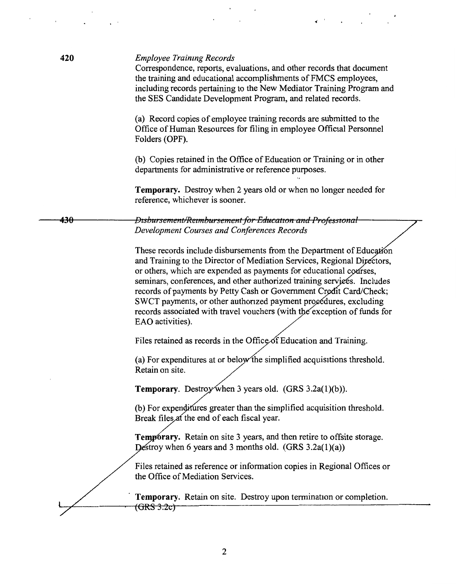| 420<br><b>Employee Training Records</b><br>Correspondence, reports, evaluations, and other records that document<br>the training and educational accomplishments of FMCS employees,<br>including records pertaining to the New Mediator Training Program and<br>the SES Candidate Development Program, and related records.<br>(a) Record copies of employee training records are submitted to the<br>Office of Human Resources for filing in employee Official Personnel<br>Folders (OPF).<br>(b) Copies retained in the Office of Education or Training or in other<br>departments for administrative or reference purposes.<br><b>Temporary.</b> Destroy when 2 years old or when no longer needed for<br>reference, whichever is sooner.<br>Disbursement/Reimbursement for Education and Professional<br>430<br>Development Courses and Conferences Records<br>These records include disbursements from the Department of Education<br>and Training to the Director of Mediation Services, Regional Directors,<br>or others, which are expended as payments for educational courses,<br>seminars, conferences, and other authorized training services. Includes<br>records of payments by Petty Cash or Government Credit Card/Check;<br>SWCT payments, or other authorized payment procedures, excluding<br>records associated with travel vouchers (with the exception of funds for<br>EAO activities).<br>Files retained as records in the Office of Education and Training.<br>(a) For expenditures at or below the simplified acquisitions threshold.<br>Retain on site.<br><b>Temporary.</b> Destroy when 3 years old. (GRS $3.2a(1)(b)$ ). |
|-------------------------------------------------------------------------------------------------------------------------------------------------------------------------------------------------------------------------------------------------------------------------------------------------------------------------------------------------------------------------------------------------------------------------------------------------------------------------------------------------------------------------------------------------------------------------------------------------------------------------------------------------------------------------------------------------------------------------------------------------------------------------------------------------------------------------------------------------------------------------------------------------------------------------------------------------------------------------------------------------------------------------------------------------------------------------------------------------------------------------------------------------------------------------------------------------------------------------------------------------------------------------------------------------------------------------------------------------------------------------------------------------------------------------------------------------------------------------------------------------------------------------------------------------------------------------------------------------------------------------------------------------------|
|                                                                                                                                                                                                                                                                                                                                                                                                                                                                                                                                                                                                                                                                                                                                                                                                                                                                                                                                                                                                                                                                                                                                                                                                                                                                                                                                                                                                                                                                                                                                                                                                                                                       |
|                                                                                                                                                                                                                                                                                                                                                                                                                                                                                                                                                                                                                                                                                                                                                                                                                                                                                                                                                                                                                                                                                                                                                                                                                                                                                                                                                                                                                                                                                                                                                                                                                                                       |
|                                                                                                                                                                                                                                                                                                                                                                                                                                                                                                                                                                                                                                                                                                                                                                                                                                                                                                                                                                                                                                                                                                                                                                                                                                                                                                                                                                                                                                                                                                                                                                                                                                                       |
|                                                                                                                                                                                                                                                                                                                                                                                                                                                                                                                                                                                                                                                                                                                                                                                                                                                                                                                                                                                                                                                                                                                                                                                                                                                                                                                                                                                                                                                                                                                                                                                                                                                       |
|                                                                                                                                                                                                                                                                                                                                                                                                                                                                                                                                                                                                                                                                                                                                                                                                                                                                                                                                                                                                                                                                                                                                                                                                                                                                                                                                                                                                                                                                                                                                                                                                                                                       |
|                                                                                                                                                                                                                                                                                                                                                                                                                                                                                                                                                                                                                                                                                                                                                                                                                                                                                                                                                                                                                                                                                                                                                                                                                                                                                                                                                                                                                                                                                                                                                                                                                                                       |
|                                                                                                                                                                                                                                                                                                                                                                                                                                                                                                                                                                                                                                                                                                                                                                                                                                                                                                                                                                                                                                                                                                                                                                                                                                                                                                                                                                                                                                                                                                                                                                                                                                                       |
|                                                                                                                                                                                                                                                                                                                                                                                                                                                                                                                                                                                                                                                                                                                                                                                                                                                                                                                                                                                                                                                                                                                                                                                                                                                                                                                                                                                                                                                                                                                                                                                                                                                       |
|                                                                                                                                                                                                                                                                                                                                                                                                                                                                                                                                                                                                                                                                                                                                                                                                                                                                                                                                                                                                                                                                                                                                                                                                                                                                                                                                                                                                                                                                                                                                                                                                                                                       |
| (b) For expenditures greater than the simplified acquisition threshold.<br>Break files at the end of each fiscal year.                                                                                                                                                                                                                                                                                                                                                                                                                                                                                                                                                                                                                                                                                                                                                                                                                                                                                                                                                                                                                                                                                                                                                                                                                                                                                                                                                                                                                                                                                                                                |
| <b>Temporary.</b> Retain on site 3 years, and then retire to offsite storage.<br>Destroy when 6 years and 3 months old. $(GRS 3.2a(1)(a))$                                                                                                                                                                                                                                                                                                                                                                                                                                                                                                                                                                                                                                                                                                                                                                                                                                                                                                                                                                                                                                                                                                                                                                                                                                                                                                                                                                                                                                                                                                            |
| Files retained as reference or information copies in Regional Offices or<br>the Office of Mediation Services.                                                                                                                                                                                                                                                                                                                                                                                                                                                                                                                                                                                                                                                                                                                                                                                                                                                                                                                                                                                                                                                                                                                                                                                                                                                                                                                                                                                                                                                                                                                                         |
| Temporary. Retain on site. Destroy upon termination or completion.                                                                                                                                                                                                                                                                                                                                                                                                                                                                                                                                                                                                                                                                                                                                                                                                                                                                                                                                                                                                                                                                                                                                                                                                                                                                                                                                                                                                                                                                                                                                                                                    |
| $(GRS-3.2c)$                                                                                                                                                                                                                                                                                                                                                                                                                                                                                                                                                                                                                                                                                                                                                                                                                                                                                                                                                                                                                                                                                                                                                                                                                                                                                                                                                                                                                                                                                                                                                                                                                                          |

 $\overline{\phantom{a}}$ 

 $\bar{\boldsymbol{\beta}}$ 

 $\cdot$ 

 $\bar{z}$ 

 $\ddot{\phantom{a}}$ 

 $\sim 10^{11}$  m